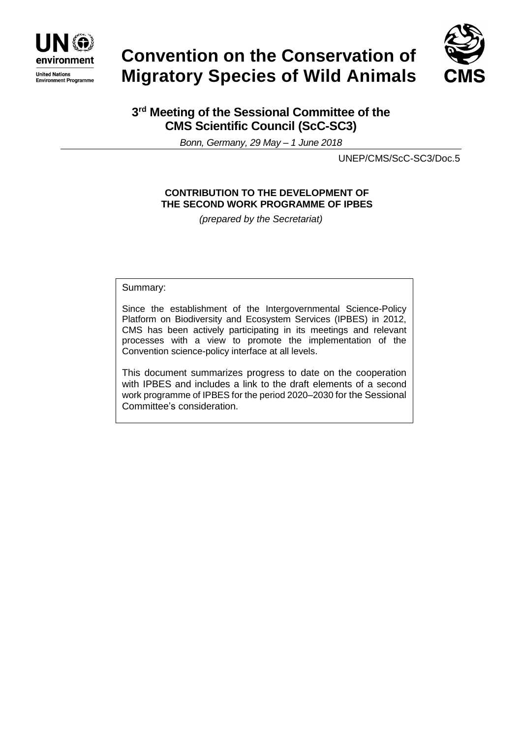

# **Convention on the Conservation of Migratory Species of Wild Animals**



## **3 rd Meeting of the Sessional Committee of the CMS Scientific Council (ScC-SC3)**

*Bonn, Germany, 29 May – 1 June 2018*

UNEP/CMS/ScC-SC3/Doc.5

### **CONTRIBUTION TO THE DEVELOPMENT OF THE SECOND WORK PROGRAMME OF IPBES**

*(prepared by the Secretariat)*

Summary:

Since the establishment of the Intergovernmental Science-Policy Platform on Biodiversity and Ecosystem Services (IPBES) in 2012, CMS has been actively participating in its meetings and relevant processes with a view to promote the implementation of the Convention science-policy interface at all levels.

This document summarizes progress to date on the cooperation with IPBES and includes a link to the draft elements of a second work programme of IPBES for the period 2020–2030 for the Sessional Committee's consideration.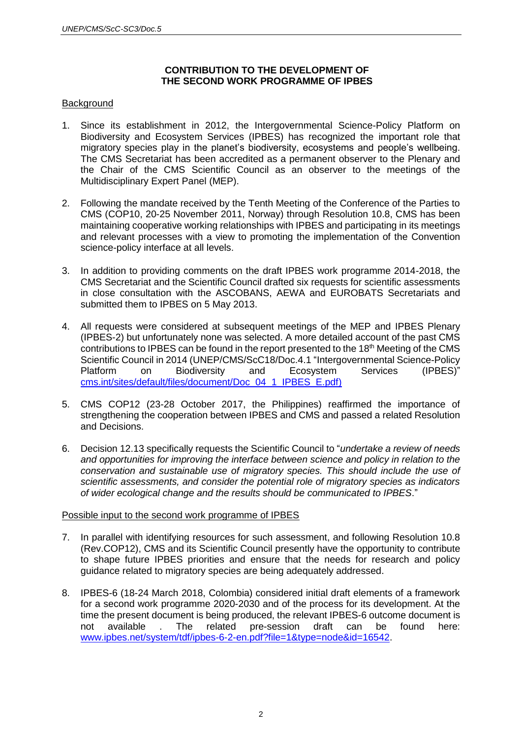#### **CONTRIBUTION TO THE DEVELOPMENT OF THE SECOND WORK PROGRAMME OF IPBES**

#### **Background**

- 1. Since its establishment in 2012, the Intergovernmental Science-Policy Platform on Biodiversity and Ecosystem Services (IPBES) has recognized the important role that migratory species play in the planet's biodiversity, ecosystems and people's wellbeing. The CMS Secretariat has been accredited as a permanent observer to the Plenary and the Chair of the CMS Scientific Council as an observer to the meetings of the Multidisciplinary Expert Panel (MEP).
- 2. Following the mandate received by the Tenth Meeting of the Conference of the Parties to CMS (COP10, 20-25 November 2011, Norway) through Resolution 10.8, CMS has been maintaining cooperative working relationships with IPBES and participating in its meetings and relevant processes with a view to promoting the implementation of the Convention science-policy interface at all levels.
- 3. In addition to providing comments on the draft IPBES work programme 2014-2018, the CMS Secretariat and the Scientific Council drafted six requests for scientific assessments in close consultation with the ASCOBANS, AEWA and EUROBATS Secretariats and submitted them to IPBES on 5 May 2013.
- 4. All requests were considered at subsequent meetings of the MEP and IPBES Plenary (IPBES-2) but unfortunately none was selected. A more detailed account of the past CMS contributions to IPBES can be found in the report presented to the 18<sup>th</sup> Meeting of the CMS Scientific Council in 2014 (UNEP/CMS/ScC18/Doc.4.1 "Intergovernmental Science-Policy Platform on Biodiversity and Ecosystem Services (IPBES)" [cms.int/sites/default/files/document/Doc\\_04\\_1\\_IPBES\\_E.pdf\)](http://cms.int/sites/default/files/document/Doc_04_1_IPBES_E.pdf)
- 5. CMS COP12 (23-28 October 2017, the Philippines) reaffirmed the importance of strengthening the cooperation between IPBES and CMS and passed a related Resolution and Decisions.
- 6. Decision 12.13 specifically requests the Scientific Council to "*undertake a review of needs and opportunities for improving the interface between science and policy in relation to the conservation and sustainable use of migratory species. This should include the use of scientific assessments, and consider the potential role of migratory species as indicators of wider ecological change and the results should be communicated to IPBES*."

#### Possible input to the second work programme of IPBES

- 7. In parallel with identifying resources for such assessment, and following Resolution 10.8 (Rev.COP12), CMS and its Scientific Council presently have the opportunity to contribute to shape future IPBES priorities and ensure that the needs for research and policy guidance related to migratory species are being adequately addressed.
- 8. IPBES-6 (18-24 March 2018, Colombia) considered initial draft elements of a framework for a second work programme 2020-2030 and of the process for its development. At the time the present document is being produced, the relevant IPBES-6 outcome document is not available . The related pre-session draft can be found here: [www.ipbes.net/system/tdf/ipbes-6-2-en.pdf?file=1&type=node&id=16542.](http://www.ipbes.net/system/tdf/ipbes-6-2-en.pdf?file=1&type=node&id=16542)